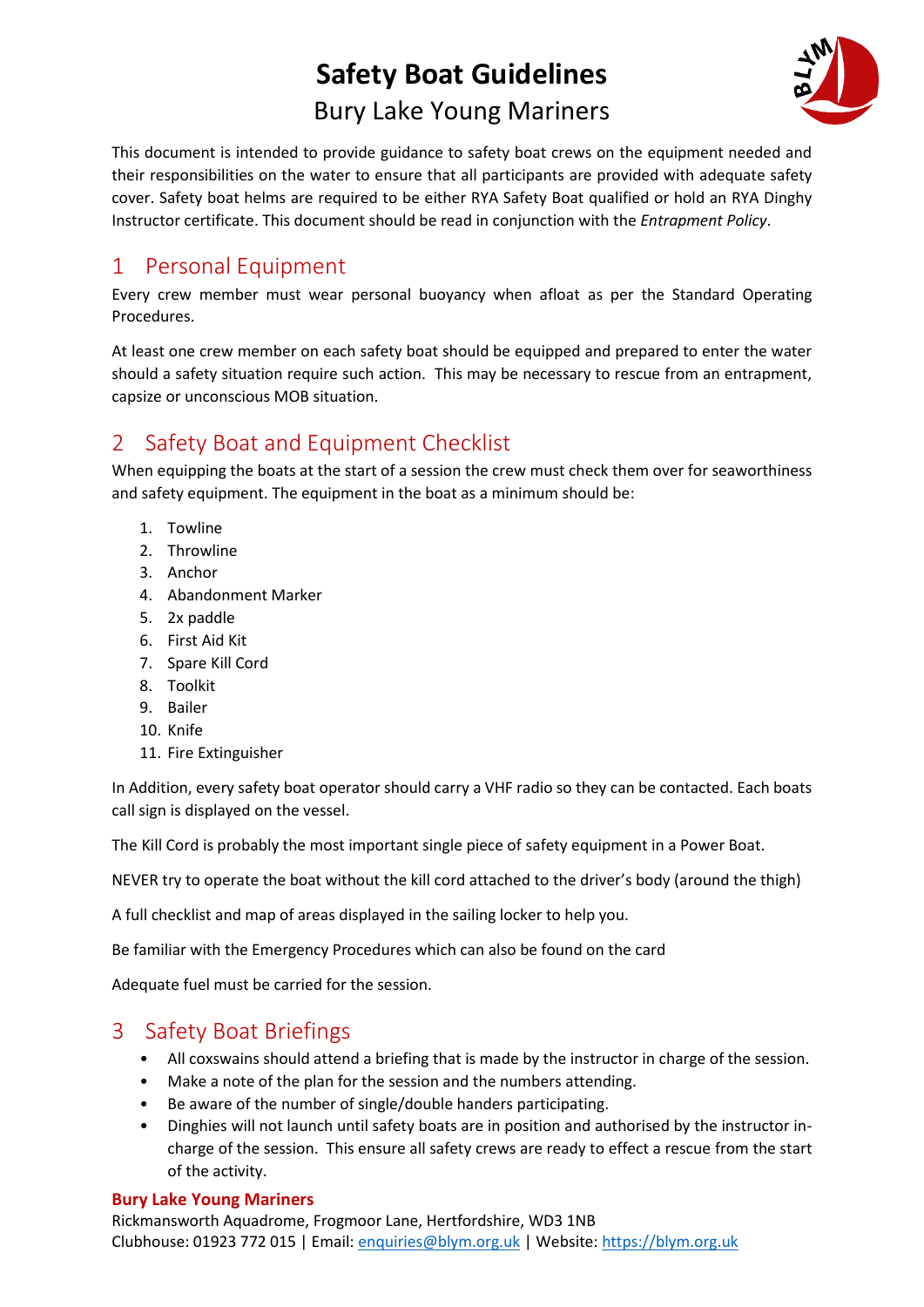# **Safety Boat Guidelines** Bury Lake Young Mariners



This document is intended to provide guidance to safety boat crews on the equipment needed and their responsibilities on the water to ensure that all participants are provided with adequate safety cover. Safety boat helms are required to be either RYA Safety Boat qualified or hold an RYA Dinghy Instructor certificate. This document should be read in conjunction with the *Entrapment Policy*.

## 1 Personal Equipment

Every crew member must wear personal buoyancy when afloat as per the Standard Operating Procedures.

At least one crew member on each safety boat should be equipped and prepared to enter the water should a safety situation require such action. This may be necessary to rescue from an entrapment, capsize or unconscious MOB situation.

## 2 Safety Boat and Equipment Checklist

When equipping the boats at the start of a session the crew must check them over for seaworthiness and safety equipment. The equipment in the boat as a minimum should be:

- 1. Towline
- 2. Throwline
- 3. Anchor
- 4. Abandonment Marker
- 5. 2x paddle
- 6. First Aid Kit
- 7. Spare Kill Cord
- 8. Toolkit
- 9. Bailer
- 10. Knife
- 11. Fire Extinguisher

In Addition, every safety boat operator should carry a VHF radio so they can be contacted. Each boats call sign is displayed on the vessel.

The Kill Cord is probably the most important single piece of safety equipment in a Power Boat.

NEVER try to operate the boat without the kill cord attached to the driver's body (around the thigh)

A full checklist and map of areas displayed in the sailing locker to help you.

Be familiar with the Emergency Procedures which can also be found on the card

Adequate fuel must be carried for the session.

## 3 Safety Boat Briefings

- All coxswains should attend a briefing that is made by the instructor in charge of the session.
- Make a note of the plan for the session and the numbers attending.
- Be aware of the number of single/double handers participating.
- Dinghies will not launch until safety boats are in position and authorised by the instructor incharge of the session. This ensure all safety crews are ready to effect a rescue from the start of the activity.

### **Bury Lake Young Mariners**

Rickmansworth Aquadrome, Frogmoor Lane, Hertfordshire, WD3 1NB Clubhouse: 01923 772 015 | Email: [enquiries@blym.org.uk](mailto:enquiries@blym.org.uk) | Website: [https://blym.org.uk](https://blym.org.uk/)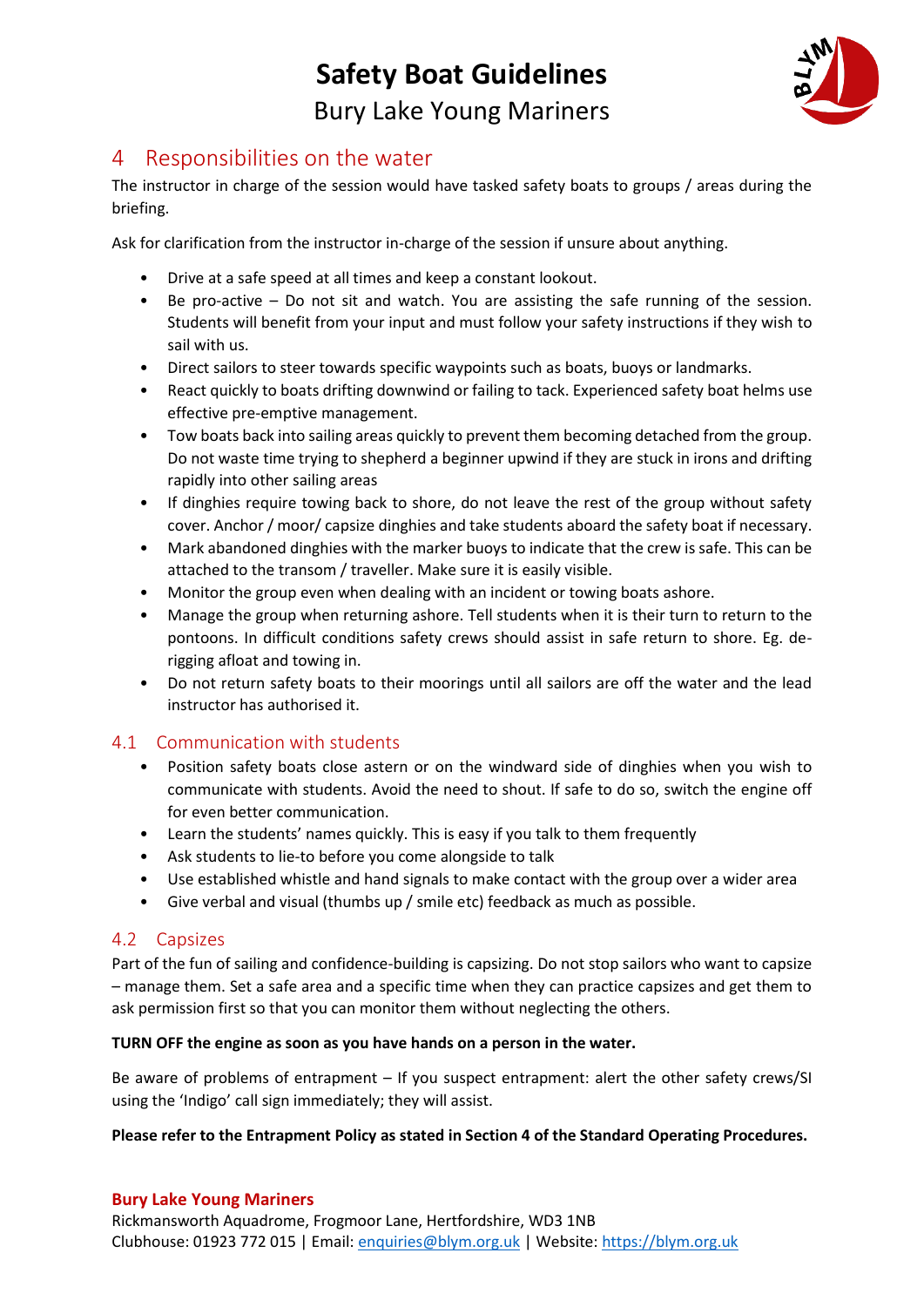# **Safety Boat Guidelines** Bury Lake Young Mariners



### 4 Responsibilities on the water

The instructor in charge of the session would have tasked safety boats to groups / areas during the briefing.

Ask for clarification from the instructor in-charge of the session if unsure about anything.

- Drive at a safe speed at all times and keep a constant lookout.
- Be pro-active Do not sit and watch. You are assisting the safe running of the session. Students will benefit from your input and must follow your safety instructions if they wish to sail with us.
- Direct sailors to steer towards specific waypoints such as boats, buoys or landmarks.
- React quickly to boats drifting downwind or failing to tack. Experienced safety boat helms use effective pre-emptive management.
- Tow boats back into sailing areas quickly to prevent them becoming detached from the group. Do not waste time trying to shepherd a beginner upwind if they are stuck in irons and drifting rapidly into other sailing areas
- If dinghies require towing back to shore, do not leave the rest of the group without safety cover. Anchor / moor/ capsize dinghies and take students aboard the safety boat if necessary.
- Mark abandoned dinghies with the marker buoys to indicate that the crew is safe. This can be attached to the transom / traveller. Make sure it is easily visible.
- Monitor the group even when dealing with an incident or towing boats ashore.
- Manage the group when returning ashore. Tell students when it is their turn to return to the pontoons. In difficult conditions safety crews should assist in safe return to shore. Eg. derigging afloat and towing in.
- Do not return safety boats to their moorings until all sailors are off the water and the lead instructor has authorised it.

### 4.1 Communication with students

- Position safety boats close astern or on the windward side of dinghies when you wish to communicate with students. Avoid the need to shout. If safe to do so, switch the engine off for even better communication.
- Learn the students' names quickly. This is easy if you talk to them frequently
- Ask students to lie-to before you come alongside to talk
- Use established whistle and hand signals to make contact with the group over a wider area
- Give verbal and visual (thumbs up / smile etc) feedback as much as possible.

### 4.2 Capsizes

Part of the fun of sailing and confidence-building is capsizing. Do not stop sailors who want to capsize – manage them. Set a safe area and a specific time when they can practice capsizes and get them to ask permission first so that you can monitor them without neglecting the others.

### **TURN OFF the engine as soon as you have hands on a person in the water.**

Be aware of problems of entrapment – If you suspect entrapment: alert the other safety crews/SI using the 'Indigo' call sign immediately; they will assist.

### **Please refer to the Entrapment Policy as stated in Section 4 of the Standard Operating Procedures.**

### **Bury Lake Young Mariners**